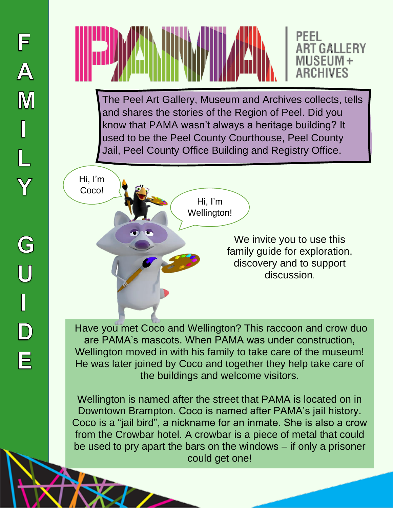



The Peel Art Gallery, Museum and Archives collects, tells and shares the stories of the Region of Peel. Did you know that PAMA wasn't always a heritage building? It used to be the Peel County Courthouse, Peel County Jail, Peel County Office Building and Registry Office.

> Hi, I'm Wellington!

Hi, I'm Coco!

> We invite you to use this family guide for exploration, discovery and to support discussion.

Have you met Coco and Wellington? This raccoon and crow duo are PAMA's mascots. When PAMA was under construction, Wellington moved in with his family to take care of the museum! He was later joined by Coco and together they help take care of the buildings and welcome visitors.

Wellington is named after the street that PAMA is located on in Downtown Brampton. Coco is named after PAMA's jail history. Coco is a "jail bird", a nickname for an inmate. She is also a crow from the Crowbar hotel. A crowbar is a piece of metal that could be used to pry apart the bars on the windows – if only a prisoner could get one!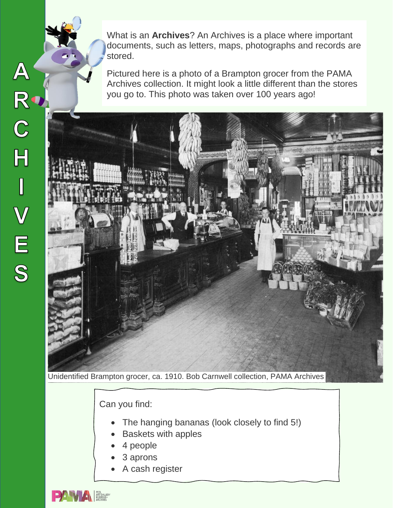What is an **Archives**? An Archives is a place where important documents, such as letters, maps, photographs and records are stored.

Pictured here is a photo of a Brampton grocer from the PAMA Archives collection. It might look a little different than the stores you go to. This photo was taken over 100 years ago!



Unidentified Brampton grocer, ca. 1910. Bob Carnwell collection, PAMA Archives

Can you find:

- The hanging bananas (look closely to find 5!)
- Baskets with apples
- 4 people
- 3 aprons
- A cash register



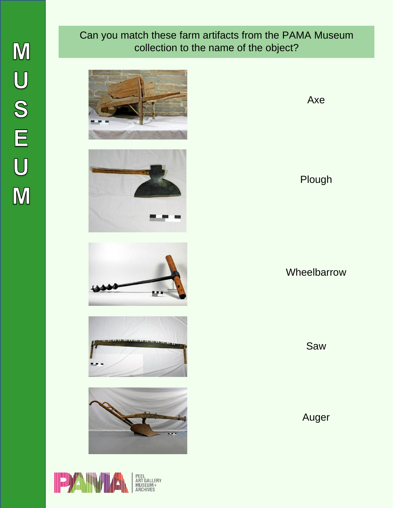### Can you match these farm artifacts from the PAMA Museum collection to the name of the object?











Axe

Plough

**Wheelbarrow** 

Saw

Auger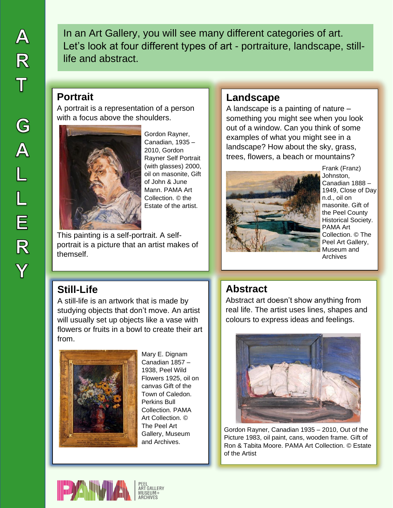In an Art Gallery, you will see many different categories of art. Let's look at four different types of art - portraiture, landscape, stilllife and abstract.

#### **Portrait**

A portrait is a representation of a person with a focus above the shoulders.



Gordon Rayner, Canadian, 1935 – 2010, Gordon Rayner Self Portrait (with glasses) 2000, oil on masonite, Gift of John & June Mann. PAMA Art Collection. © the Estate of the artist.

This painting is a self-portrait. A selfportrait is a picture that an artist makes of themself.

#### **Landscape**

A landscape is a painting of nature – something you might see when you look out of a window. Can you think of some examples of what you might see in a landscape? How about the sky, grass, trees, flowers, a beach or mountains?



Frank (Franz) Johnston, Canadian 1888 – 1949, Close of Day n.d., oil on masonite. Gift of the Peel County Historical Society. PAMA Art Collection. © The Peel Art Gallery, Museum and Archives

# **Still-Life**

A still-life is an artwork that is made by studying objects that don't move. An artist will usually set up objects like a vase with flowers or fruits in a bowl to create their art from.



Mary E. Dignam Canadian 1857 – 1938, Peel Wild Flowers 1925, oil on canvas Gift of the Town of Caledon. Perkins Bull Collection. PAMA Art Collection. © The Peel Art Gallery, Museum and Archives.

## **Abstract**

Abstract art doesn't show anything from real life. The artist uses lines, shapes and colours to express ideas and feelings.



Gordon Rayner, Canadian 1935 – 2010, Out of the Picture 1983, oil paint, cans, wooden frame. Gift of Ron & Tabita Moore. PAMA Art Collection. © Estate of the Artist

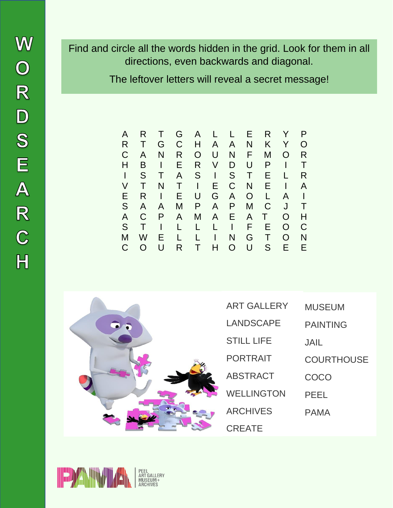Find and circle all the words hidden in the grid. Look for them in all directions, even backwards and diagonal.

The leftover letters will reveal a secret message!

| Α | R |        | G            | A | L  | L              | Е              | R  |   | P |
|---|---|--------|--------------|---|----|----------------|----------------|----|---|---|
| R |   | G      | C            | Н | A  | $\overline{A}$ | N              | K  | Y | O |
| C | A | N      | R            | O | U  | N              | F              | M  | O | R |
| Н | B |        | E.           | R | V  | D              | U              | P  |   | Т |
|   | S |        | A            | S | I  | S              | Τ              | Е  |   | R |
| V |   | N      | $\mathbf{T}$ | I | E. | C              | N              | E. |   | A |
| Е | R | I      | E.           | U | G  | A              | O              | L  | A |   |
| S | A | A      | M            | P | A  | P              | M              | C  | J | Т |
| A | C | P      | A            | M | A  | E.             | $\overline{A}$ | Τ  | O | Н |
| S | Τ |        | L            | L | L  | I              | F              | Е  | O | C |
| M | W | Е      | L            |   |    | N              | G              | т  | O | N |
| C |   | $\cup$ | R            | т | н  | $\Omega$       | U              | S  | E | E |



| <b>ART GALLERY</b> | MUSEUM            |
|--------------------|-------------------|
| LANDSCAPE          | <b>PAINTING</b>   |
| <b>STILL LIFE</b>  | JAIL              |
| <b>PORTRAIT</b>    | <b>COURTHOUSE</b> |
| <b>ABSTRACT</b>    | COCO              |
| <b>WELLINGTON</b>  | PEEL              |
| <b>ARCHIVES</b>    | PAMA              |
| <b>CREATE</b>      |                   |